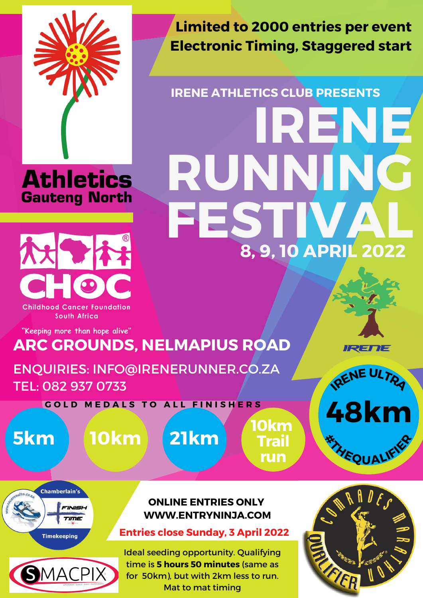





South Africa

"Keeping more than hope alive"

**Limited to 2000 entries per event Electronic Timing, Staggered start**

# **IRENE ATHLETICS CLUB PRESENTS 8, 9, 10 APRIL 2022 IRENE RUNN FESTIVAL**

## **ARC GROUNDS, NELMAPIUS ROAD**

ENQUIRIES: [INFO@IRENERUNNER.CO.ZA](mailto:info@irenerunner.co.za) TEL: 082 937 0733









**Entries close Sunday, 3 April 2022**



Ideal seeding opportunity. Qualifying time is **5 hours 50 minutes** (same as for 50km), but with 2km less to run. Mat to mat timing